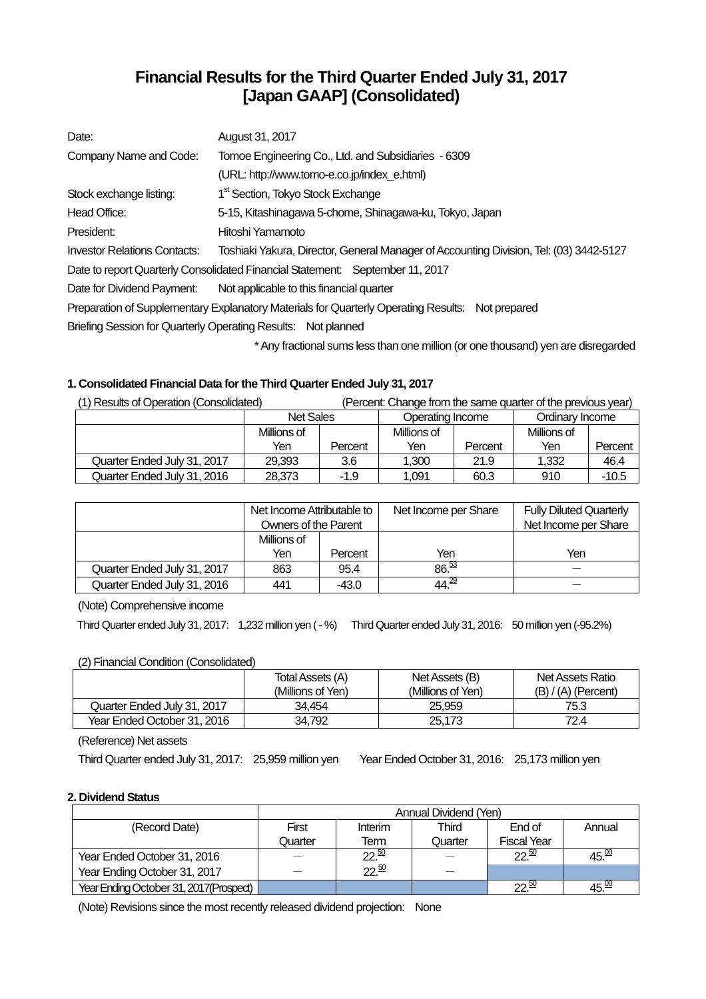# **Financial Results for the Third Quarter Ended July 31, 2017 [Japan GAAP] (Consolidated)**

| Date:                               | August 31, 2017                                                                                  |
|-------------------------------------|--------------------------------------------------------------------------------------------------|
| Company Name and Code:              | Tomoe Engineering Co., Ltd. and Subsidiaries - 6309                                              |
|                                     | (URL: http://www.tomo-e.co.jp/index e.html)                                                      |
| Stock exchange listing:             | 1 <sup>st</sup> Section, Tokyo Stock Exchange                                                    |
| Head Office:                        | 5-15, Kitashinagawa 5-chome, Shinagawa-ku, Tokyo, Japan                                          |
| President:                          | Hitoshi Yamamoto                                                                                 |
| <b>Investor Relations Contacts:</b> | Toshiaki Yakura, Director, General Manager of Accounting Division, Tel: (03) 3442-5127           |
|                                     | Date to report Quarterly Consolidated Financial Statement: September 11, 2017                    |
| Date for Dividend Payment:          | Not applicable to this financial quarter                                                         |
|                                     | Preparation of Supplementary Explanatory Materials for Quarterly Operating Results: Not prepared |
|                                     | Briefing Session for Quarterly Operating Results: Not planned                                    |
|                                     |                                                                                                  |

\* Any fractional sums less than one million (or one thousand) yen are disregarded

### **1. Consolidated Financial Data for the Third Quarter Ended July 31, 2017**

| (1) Results of Operation (Consolidated) |                  |         |                  |         | (Percent: Change from the same quarter of the previous year) |         |
|-----------------------------------------|------------------|---------|------------------|---------|--------------------------------------------------------------|---------|
|                                         | <b>Net Sales</b> |         | Operating Income |         | Ordinary Income                                              |         |
|                                         | Millions of      |         | Millions of      |         | Millions of                                                  |         |
|                                         | Yen              | Percent | Yen              | Percent | Yen                                                          | Percent |
| Quarter Ended July 31, 2017             | 29.393           | 3.6     | 1.300            | 21.9    | 1.332                                                        | 46.4    |
| Quarter Ended July 31, 2016             | 28,373           | $-1.9$  | 1.091            | 60.3    | 910                                                          | $-10.5$ |

|                             | Net Income Attributable to<br>Owners of the Parent |         | Net Income per Share | <b>Fully Diluted Quarterly</b><br>Net Income per Share |
|-----------------------------|----------------------------------------------------|---------|----------------------|--------------------------------------------------------|
|                             | Millions of<br>Yen                                 | Percent | Yen                  | Yen                                                    |
|                             |                                                    |         |                      |                                                        |
| Quarter Ended July 31, 2017 | 863                                                | 95.4    | 86.53                |                                                        |
| Quarter Ended July 31, 2016 | 441                                                | $-43.0$ | 44. <sup>29</sup>    |                                                        |

(Note) Comprehensive income

Third Quarter ended July 31, 2017: 1,232 million yen ( - %) Third Quarter ended July 31, 2016: 50 million yen (-95.2%)

#### (2) Financial Condition (Consolidated)

|                             | Total Assets (A)  | Net Assets (B)    | Net Assets Ratio      |
|-----------------------------|-------------------|-------------------|-----------------------|
|                             | (Millions of Yen) | (Millions of Yen) | $(B) / (A)$ (Percent) |
| Quarter Ended July 31, 2017 | 34.454            | 25.959            | 75.3                  |
| Year Ended October 31, 2016 | 34.792            | 25,173            | 72.4                  |

(Reference) Net assets

Third Quarter ended July 31, 2017: 25,959 million yen Year Ended October 31, 2016: 25,173 million yen

### **2. Dividend Status**

|                                         | Annual Dividend (Yen) |                  |         |                     |                  |  |
|-----------------------------------------|-----------------------|------------------|---------|---------------------|------------------|--|
| (Record Date)                           | First                 | Interim          | Third   | End of              | Annual           |  |
|                                         | Quarter               | Term             | Quarter | <b>Fiscal Year</b>  |                  |  |
| Year Ended October 31, 2016             |                       | $22\frac{50}{2}$ |         | $22\frac{50}{2}$    | 45. <sup>w</sup> |  |
| Year Ending October 31, 2017            |                       | $22^{50}$        |         |                     |                  |  |
| Year Ending October 31, 2017 (Prospect) |                       |                  |         | $22^{\frac{50}{2}}$ | 45. <sup>w</sup> |  |

(Note) Revisions since the most recently released dividend projection: None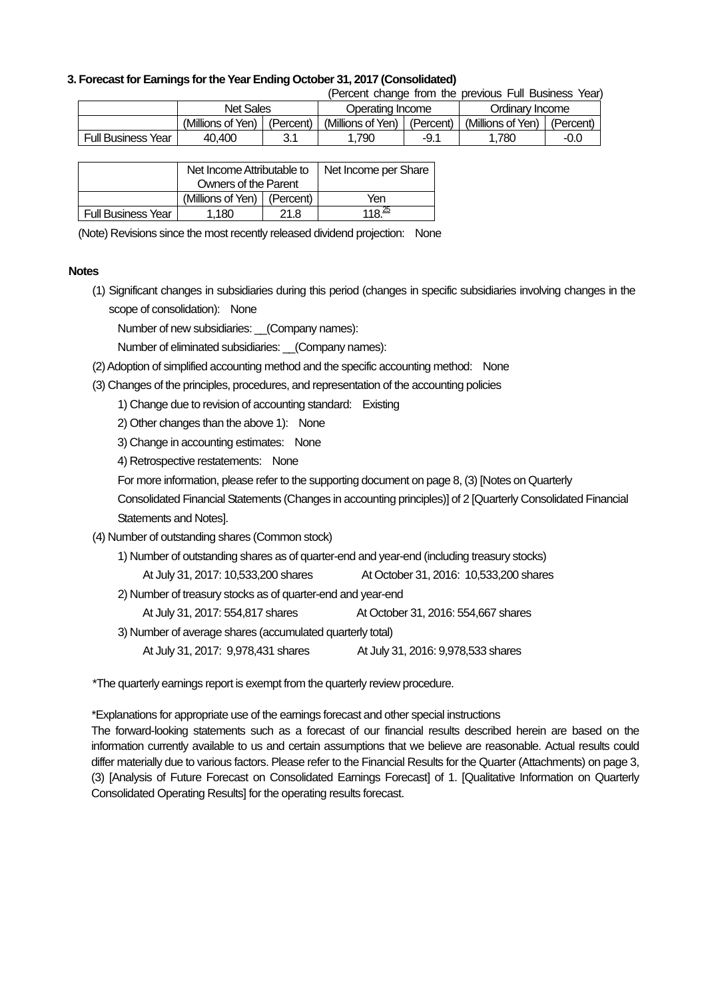#### **3. Forecast for Earnings for the Year Ending October 31, 2017 (Consolidated)**

(Percent change from the previous Full Business Year)

|                           | <b>Net Sales</b>  |            | Operating Income  |           | Ordinarv Income   |           |
|---------------------------|-------------------|------------|-------------------|-----------|-------------------|-----------|
|                           | (Millions of Yen) | (Percent)  | (Millions of Yen) | (Percent) | (Millions of Yen) | (Percent, |
| <b>Full Business Year</b> | 40.400            | ? 1<br>J.I | .790              | -9.1      | .780              | -0.0      |

|                           | Net Income Attributable to    |      | Net Income per Share |
|---------------------------|-------------------------------|------|----------------------|
|                           | Owners of the Parent          |      |                      |
|                           | (Millions of Yen)   (Percent) |      | Yen                  |
| <b>Full Business Year</b> | 1,180                         | 21.8 | $118^{25}$           |

(Note) Revisions since the most recently released dividend projection: None

#### **Notes**

(1) Significant changes in subsidiaries during this period (changes in specific subsidiaries involving changes in the scope of consolidation): None

Number of new subsidiaries: \_\_(Company names):

Number of eliminated subsidiaries: \_\_(Company names):

- (2) Adoption of simplified accounting method and the specific accounting method: None
- (3) Changes of the principles, procedures, and representation of the accounting policies

1) Change due to revision of accounting standard: Existing

2) Other changes than the above 1): None

3) Change in accounting estimates: None

4) Retrospective restatements: None

For more information, please refer to the supporting document on page 8, (3) [Notes on Quarterly

Consolidated Financial Statements (Changes in accounting principles)] of 2 [Quarterly Consolidated Financial Statements and Notes].

- (4) Number of outstanding shares (Common stock)
	- 1) Number of outstanding shares as of quarter-end and year-end (including treasury stocks)
		- At July 31, 2017: 10,533,200 shares At October 31, 2016: 10,533,200 shares
	- 2) Number of treasury stocks as of quarter-end and year-end

At July 31, 2017: 554,817 shares At October 31, 2016: 554,667 shares

3) Number of average shares (accumulated quarterly total)

At July 31, 2017: 9,978,431 shares At July 31, 2016: 9,978,533 shares

\*The quarterly earnings report is exempt from the quarterly review procedure.

\*Explanations for appropriate use of the earnings forecast and other special instructions

The forward-looking statements such as a forecast of our financial results described herein are based on the information currently available to us and certain assumptions that we believe are reasonable. Actual results could differ materially due to various factors. Please refer to the Financial Results for the Quarter (Attachments) on page 3, (3) [Analysis of Future Forecast on Consolidated Earnings Forecast] of 1. [Qualitative Information on Quarterly Consolidated Operating Results] for the operating results forecast.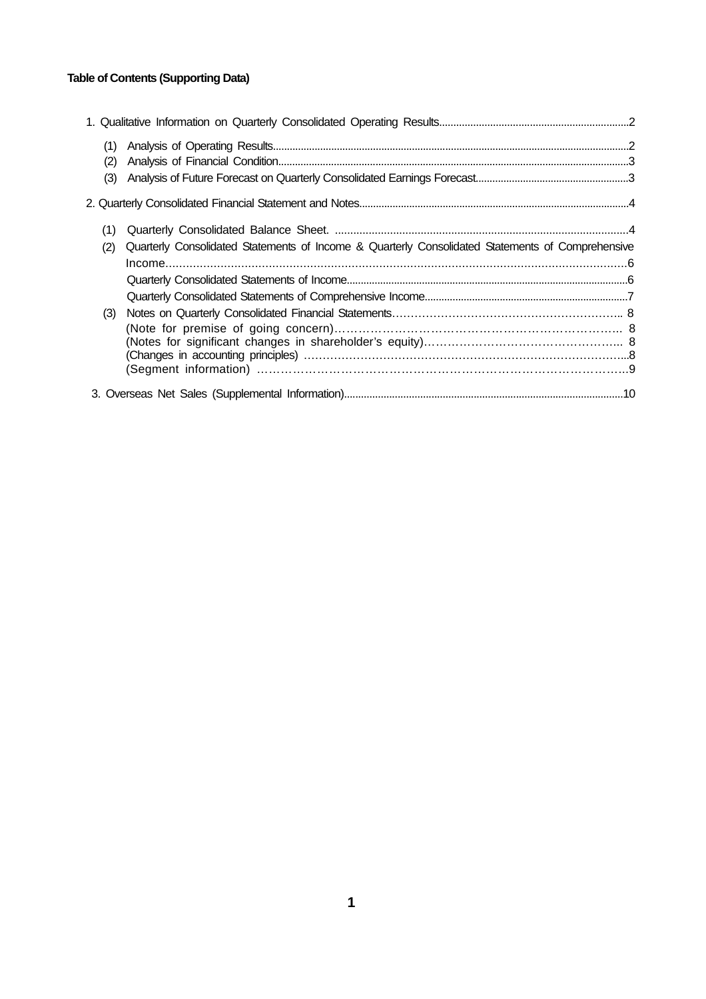## **Table of Contents (Supporting Data)**

| (1)<br>(2) |                                                                                                  |  |
|------------|--------------------------------------------------------------------------------------------------|--|
| (3)        |                                                                                                  |  |
|            |                                                                                                  |  |
| (1)        |                                                                                                  |  |
| (2)        | Quarterly Consolidated Statements of Income & Quarterly Consolidated Statements of Comprehensive |  |
|            |                                                                                                  |  |
|            |                                                                                                  |  |
|            |                                                                                                  |  |
| (3)        |                                                                                                  |  |
|            |                                                                                                  |  |
|            |                                                                                                  |  |
|            |                                                                                                  |  |
|            |                                                                                                  |  |
|            |                                                                                                  |  |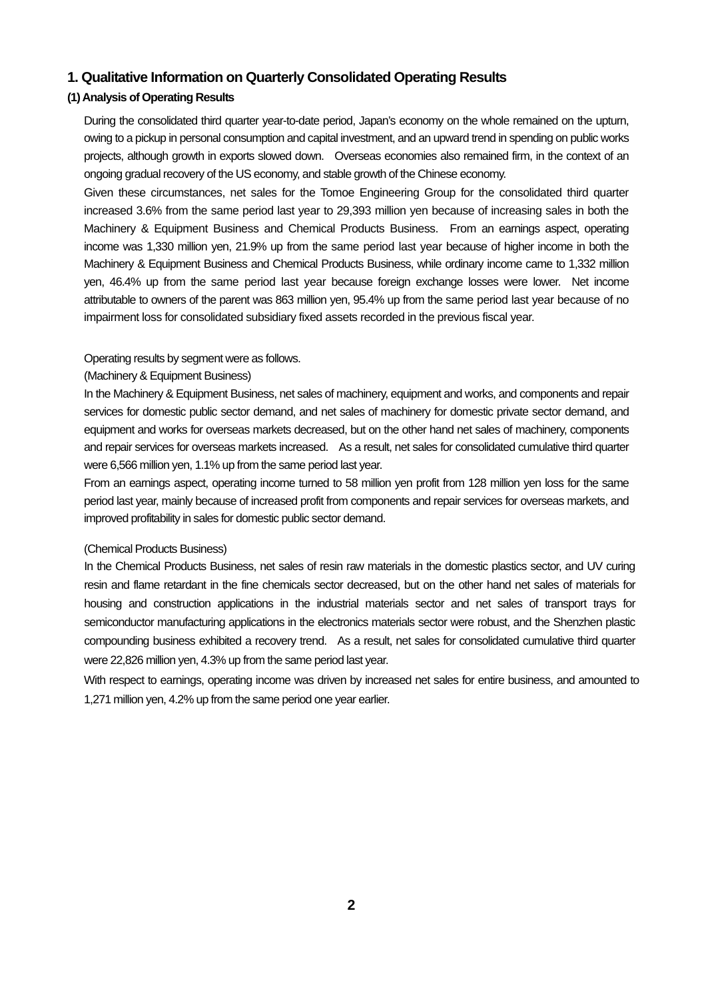## **1. Qualitative Information on Quarterly Consolidated Operating Results**

### **(1) Analysis of Operating Results**

During the consolidated third quarter year-to-date period, Japan's economy on the whole remained on the upturn, owing to a pickup in personal consumption and capital investment, and an upward trend in spending on public works projects, although growth in exports slowed down. Overseas economies also remained firm, in the context of an ongoing gradual recovery of the US economy, and stable growth of the Chinese economy.

Given these circumstances, net sales for the Tomoe Engineering Group for the consolidated third quarter increased 3.6% from the same period last year to 29,393 million yen because of increasing sales in both the Machinery & Equipment Business and Chemical Products Business. From an earnings aspect, operating income was 1,330 million yen, 21.9% up from the same period last year because of higher income in both the Machinery & Equipment Business and Chemical Products Business, while ordinary income came to 1,332 million yen, 46.4% up from the same period last year because foreign exchange losses were lower. Net income attributable to owners of the parent was 863 million yen, 95.4% up from the same period last year because of no impairment loss for consolidated subsidiary fixed assets recorded in the previous fiscal year.

#### Operating results by segment were as follows.

#### (Machinery & Equipment Business)

In the Machinery & Equipment Business, net sales of machinery, equipment and works, and components and repair services for domestic public sector demand, and net sales of machinery for domestic private sector demand, and equipment and works for overseas markets decreased, but on the other hand net sales of machinery, components and repair services for overseas markets increased. As a result, net sales for consolidated cumulative third quarter were 6,566 million yen, 1.1% up from the same period last year.

From an earnings aspect, operating income turned to 58 million yen profit from 128 million yen loss for the same period last year, mainly because of increased profit from components and repair services for overseas markets, and improved profitability in sales for domestic public sector demand.

#### (Chemical Products Business)

In the Chemical Products Business, net sales of resin raw materials in the domestic plastics sector, and UV curing resin and flame retardant in the fine chemicals sector decreased, but on the other hand net sales of materials for housing and construction applications in the industrial materials sector and net sales of transport trays for semiconductor manufacturing applications in the electronics materials sector were robust, and the Shenzhen plastic compounding business exhibited a recovery trend. As a result, net sales for consolidated cumulative third quarter were 22,826 million yen, 4.3% up from the same period last year.

With respect to earnings, operating income was driven by increased net sales for entire business, and amounted to 1,271 million yen, 4.2% up from the same period one year earlier.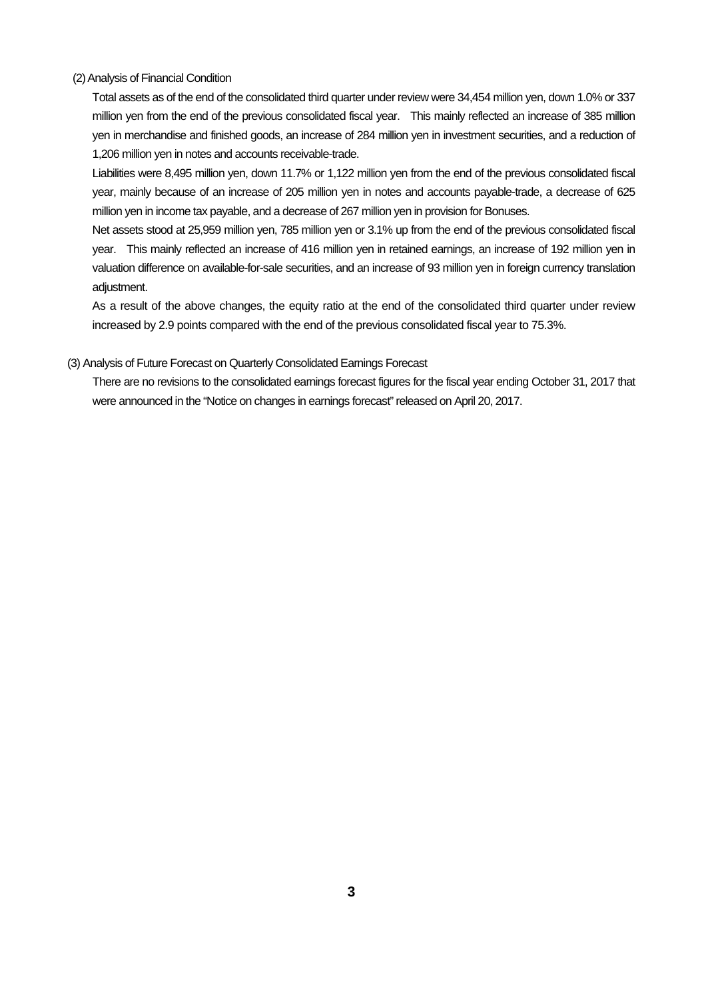#### (2) Analysis of Financial Condition

Total assets as of the end of the consolidated third quarter under review were 34,454 million yen, down 1.0% or 337 million yen from the end of the previous consolidated fiscal year. This mainly reflected an increase of 385 million yen in merchandise and finished goods, an increase of 284 million yen in investment securities, and a reduction of 1,206 million yen in notes and accounts receivable-trade.

Liabilities were 8,495 million yen, down 11.7% or 1,122 million yen from the end of the previous consolidated fiscal year, mainly because of an increase of 205 million yen in notes and accounts payable-trade, a decrease of 625 million yen in income tax payable, and a decrease of 267 million yen in provision for Bonuses.

Net assets stood at 25,959 million yen, 785 million yen or 3.1% up from the end of the previous consolidated fiscal year. This mainly reflected an increase of 416 million yen in retained earnings, an increase of 192 million yen in valuation difference on available-for-sale securities, and an increase of 93 million yen in foreign currency translation adiustment.

As a result of the above changes, the equity ratio at the end of the consolidated third quarter under review increased by 2.9 points compared with the end of the previous consolidated fiscal year to 75.3%.

#### (3) Analysis of Future Forecast on Quarterly Consolidated Earnings Forecast

There are no revisions to the consolidated earnings forecast figures for the fiscal year ending October 31, 2017 that were announced in the "Notice on changes in earnings forecast" released on April 20, 2017.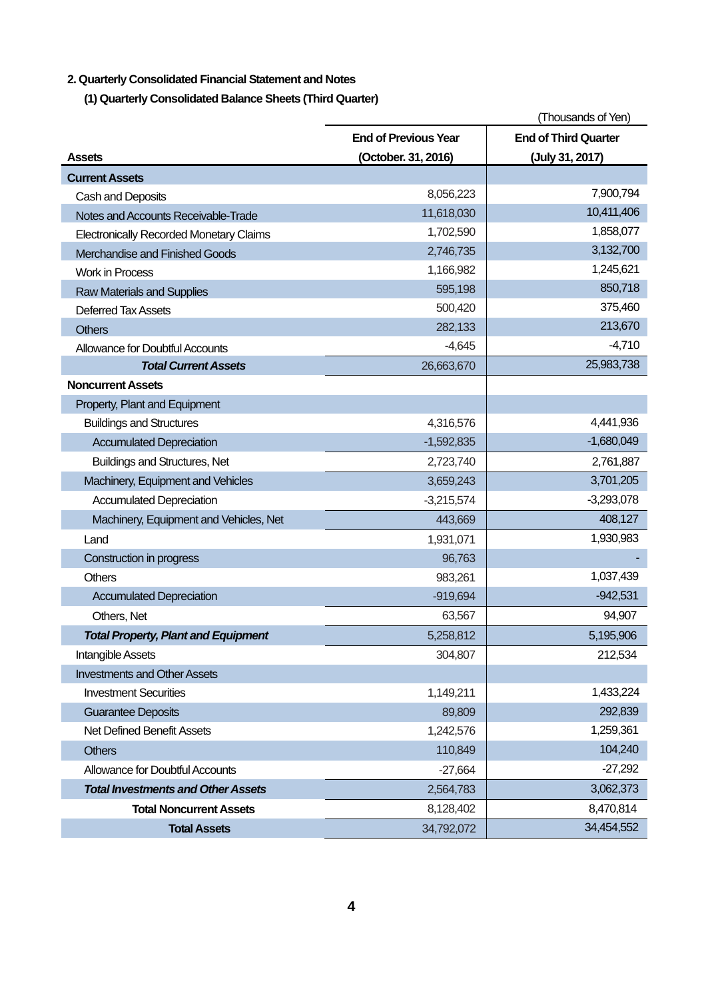## **2. Quarterly Consolidated Financial Statement and Notes**

**(1) Quarterly Consolidated Balance Sheets (Third Quarter)** 

|                                                |                             | (Thousands of Yen)          |
|------------------------------------------------|-----------------------------|-----------------------------|
|                                                | <b>End of Previous Year</b> | <b>End of Third Quarter</b> |
| <b>Assets</b>                                  | (October. 31, 2016)         | (July 31, 2017)             |
| <b>Current Assets</b>                          |                             |                             |
| Cash and Deposits                              | 8,056,223                   | 7,900,794                   |
| Notes and Accounts Receivable-Trade            | 11,618,030                  | 10,411,406                  |
| <b>Electronically Recorded Monetary Claims</b> | 1,702,590                   | 1,858,077                   |
| Merchandise and Finished Goods                 | 2,746,735                   | 3,132,700                   |
| <b>Work in Process</b>                         | 1,166,982                   | 1,245,621                   |
| <b>Raw Materials and Supplies</b>              | 595,198                     | 850,718                     |
| Deferred Tax Assets                            | 500,420                     | 375,460                     |
| <b>Others</b>                                  | 282,133                     | 213,670                     |
| <b>Allowance for Doubtful Accounts</b>         | $-4,645$                    | $-4,710$                    |
| <b>Total Current Assets</b>                    | 26,663,670                  | 25,983,738                  |
| <b>Noncurrent Assets</b>                       |                             |                             |
| Property, Plant and Equipment                  |                             |                             |
| <b>Buildings and Structures</b>                | 4,316,576                   | 4,441,936                   |
| <b>Accumulated Depreciation</b>                | $-1,592,835$                | $-1,680,049$                |
| <b>Buildings and Structures, Net</b>           | 2,723,740                   | 2,761,887                   |
| Machinery, Equipment and Vehicles              | 3,659,243                   | 3,701,205                   |
| <b>Accumulated Depreciation</b>                | $-3,215,574$                | $-3,293,078$                |
| Machinery, Equipment and Vehicles, Net         | 443,669                     | 408,127                     |
| Land                                           | 1,931,071                   | 1,930,983                   |
| Construction in progress                       | 96,763                      |                             |
| <b>Others</b>                                  | 983,261                     | 1,037,439                   |
| <b>Accumulated Depreciation</b>                | $-919,694$                  | $-942,531$                  |
| Others, Net                                    | 63,567                      | 94,907                      |
| <b>Total Property, Plant and Equipment</b>     | 5,258,812                   | 5,195,906                   |
| Intangible Assets                              | 304,807                     | 212,534                     |
| <b>Investments and Other Assets</b>            |                             |                             |
| <b>Investment Securities</b>                   | 1,149,211                   | 1,433,224                   |
| <b>Guarantee Deposits</b>                      | 89,809                      | 292,839                     |
| Net Defined Benefit Assets                     | 1,242,576                   | 1,259,361                   |
| <b>Others</b>                                  | 110,849                     | 104,240                     |
| <b>Allowance for Doubtful Accounts</b>         | $-27,664$                   | $-27,292$                   |
| <b>Total Investments and Other Assets</b>      | 2,564,783                   | 3,062,373                   |
| <b>Total Noncurrent Assets</b>                 | 8,128,402                   | 8,470,814                   |
| <b>Total Assets</b>                            | 34,792,072                  | 34,454,552                  |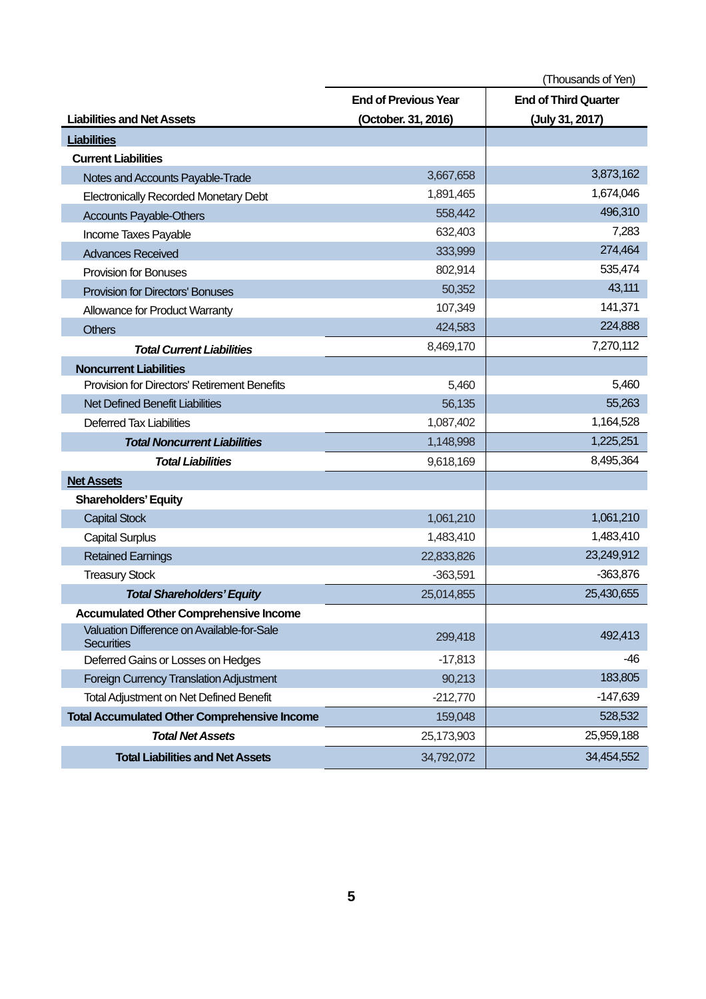|                                                                 | (Thousands of Yen)          |                             |  |
|-----------------------------------------------------------------|-----------------------------|-----------------------------|--|
|                                                                 | <b>End of Previous Year</b> | <b>End of Third Quarter</b> |  |
| <b>Liabilities and Net Assets</b>                               | (October. 31, 2016)         | (July 31, 2017)             |  |
| <b>Liabilities</b>                                              |                             |                             |  |
| <b>Current Liabilities</b>                                      |                             |                             |  |
| Notes and Accounts Payable-Trade                                | 3,667,658                   | 3,873,162                   |  |
| <b>Electronically Recorded Monetary Debt</b>                    | 1,891,465                   | 1,674,046                   |  |
| <b>Accounts Payable-Others</b>                                  | 558,442                     | 496,310                     |  |
| Income Taxes Payable                                            | 632,403                     | 7,283                       |  |
| <b>Advances Received</b>                                        | 333,999                     | 274,464                     |  |
| <b>Provision for Bonuses</b>                                    | 802,914                     | 535,474                     |  |
| <b>Provision for Directors' Bonuses</b>                         | 50,352                      | 43,111                      |  |
| Allowance for Product Warranty                                  | 107,349                     | 141,371                     |  |
| <b>Others</b>                                                   | 424,583                     | 224,888                     |  |
| <b>Total Current Liabilities</b>                                | 8,469,170                   | 7,270,112                   |  |
| <b>Noncurrent Liabilities</b>                                   |                             |                             |  |
| Provision for Directors' Retirement Benefits                    | 5,460                       | 5,460                       |  |
| <b>Net Defined Benefit Liabilities</b>                          | 56,135                      | 55,263                      |  |
| <b>Deferred Tax Liabilities</b>                                 | 1,087,402                   | 1,164,528                   |  |
| <b>Total Noncurrent Liabilities</b>                             | 1,148,998                   | 1,225,251                   |  |
| <b>Total Liabilities</b>                                        | 9,618,169                   | 8,495,364                   |  |
| <b>Net Assets</b>                                               |                             |                             |  |
| <b>Shareholders' Equity</b>                                     |                             |                             |  |
| <b>Capital Stock</b>                                            | 1,061,210                   | 1,061,210                   |  |
| <b>Capital Surplus</b>                                          | 1,483,410                   | 1,483,410                   |  |
| <b>Retained Earnings</b>                                        | 22,833,826                  | 23,249,912                  |  |
| <b>Treasury Stock</b>                                           | $-363,591$                  | $-363,876$                  |  |
| <b>Total Shareholders' Equity</b>                               | 25,014,855                  | 25,430,655                  |  |
| <b>Accumulated Other Comprehensive Income</b>                   |                             |                             |  |
| Valuation Difference on Available-for-Sale<br><b>Securities</b> | 299,418                     | 492,413                     |  |
| Deferred Gains or Losses on Hedges                              | $-17,813$                   | -46                         |  |
| Foreign Currency Translation Adjustment                         | 90,213                      | 183,805                     |  |
| <b>Total Adjustment on Net Defined Benefit</b>                  | $-212,770$                  | $-147,639$                  |  |
| <b>Total Accumulated Other Comprehensive Income</b>             | 159,048                     | 528,532                     |  |
| <b>Total Net Assets</b>                                         | 25,173,903                  | 25,959,188                  |  |
| <b>Total Liabilities and Net Assets</b>                         | 34,792,072                  | 34,454,552                  |  |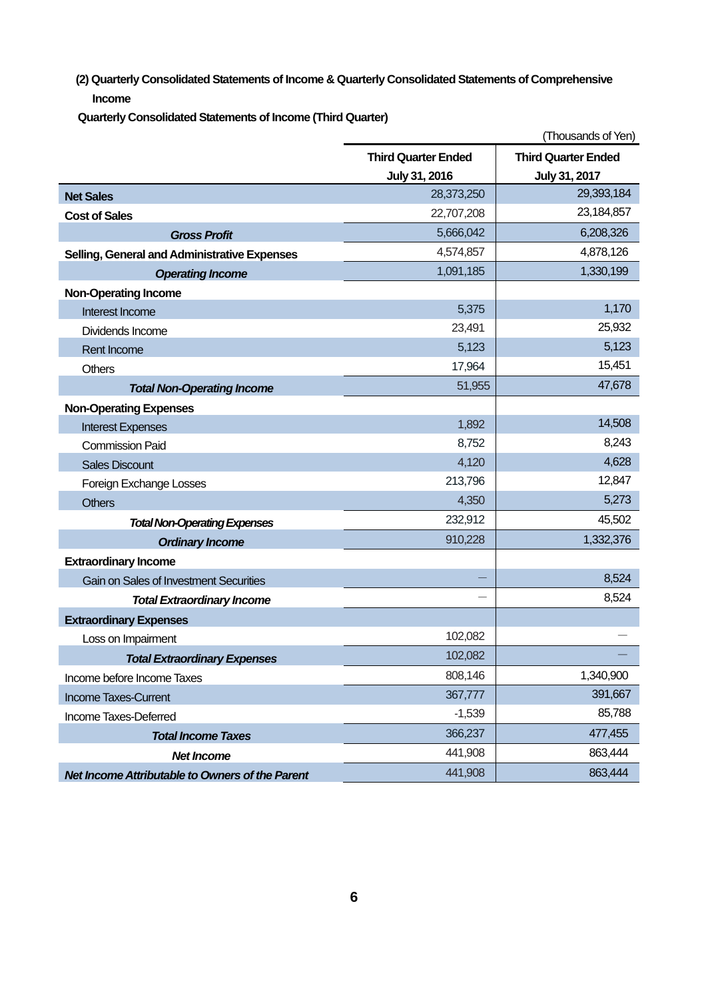**(2) Quarterly Consolidated Statements of Income & Quarterly Consolidated Statements of Comprehensive Income**

**Quarterly Consolidated Statements of Income (Third Quarter)** 

|                                                 |                            | (Thousands of Yen)         |
|-------------------------------------------------|----------------------------|----------------------------|
|                                                 | <b>Third Quarter Ended</b> | <b>Third Quarter Ended</b> |
|                                                 | July 31, 2016              | July 31, 2017              |
| <b>Net Sales</b>                                | 28,373,250                 | 29,393,184                 |
| <b>Cost of Sales</b>                            | 22,707,208                 | 23,184,857                 |
| <b>Gross Profit</b>                             | 5,666,042                  | 6,208,326                  |
| Selling, General and Administrative Expenses    | 4,574,857                  | 4,878,126                  |
| <b>Operating Income</b>                         | 1,091,185                  | 1,330,199                  |
| <b>Non-Operating Income</b>                     |                            |                            |
| Interest Income                                 | 5,375                      | 1,170                      |
| Dividends Income                                | 23,491                     | 25,932                     |
| Rent Income                                     | 5,123                      | 5,123                      |
| <b>Others</b>                                   | 17,964                     | 15,451                     |
| <b>Total Non-Operating Income</b>               | 51,955                     | 47,678                     |
| <b>Non-Operating Expenses</b>                   |                            |                            |
| <b>Interest Expenses</b>                        | 1,892                      | 14,508                     |
| <b>Commission Paid</b>                          | 8,752                      | 8,243                      |
| <b>Sales Discount</b>                           | 4,120                      | 4,628                      |
| Foreign Exchange Losses                         | 213,796                    | 12,847                     |
| <b>Others</b>                                   | 4,350                      | 5,273                      |
| <b>Total Non-Operating Expenses</b>             | 232,912                    | 45,502                     |
| <b>Ordinary Income</b>                          | 910,228                    | 1,332,376                  |
| <b>Extraordinary Income</b>                     |                            |                            |
| <b>Gain on Sales of Investment Securities</b>   |                            | 8,524                      |
| <b>Total Extraordinary Income</b>               |                            | 8,524                      |
| <b>Extraordinary Expenses</b>                   |                            |                            |
| Loss on Impairment                              | 102,082                    |                            |
| <b>Total Extraordinary Expenses</b>             | 102,082                    |                            |
| Income before Income Taxes                      | 808,146                    | 1,340,900                  |
| <b>Income Taxes-Current</b>                     | 367,777                    | 391,667                    |
| Income Taxes-Deferred                           | $-1,539$                   | 85,788                     |
| <b>Total Income Taxes</b>                       | 366,237                    | 477,455                    |
| <b>Net Income</b>                               | 441,908                    | 863,444                    |
| Net Income Attributable to Owners of the Parent | 441,908                    | 863,444                    |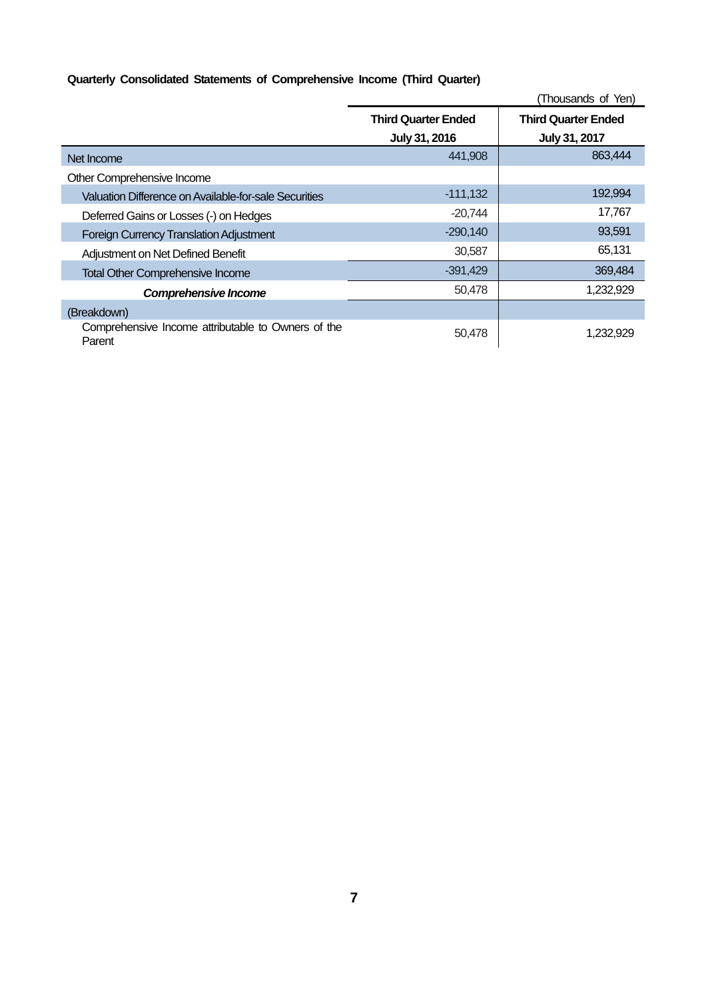## **Quarterly Consolidated Statements of Comprehensive Income (Third Quarter)**

|                                                              |                            | (Thousands of Yen)         |
|--------------------------------------------------------------|----------------------------|----------------------------|
|                                                              | <b>Third Quarter Ended</b> | <b>Third Quarter Ended</b> |
|                                                              | July 31, 2016              | July 31, 2017              |
| Net Income                                                   | 441,908                    | 863,444                    |
| Other Comprehensive Income                                   |                            |                            |
| Valuation Difference on Available-for-sale Securities        | $-111,132$                 | 192,994                    |
| Deferred Gains or Losses (-) on Hedges                       | $-20,744$                  | 17,767                     |
| <b>Foreign Currency Translation Adjustment</b>               | $-290,140$                 | 93,591                     |
| Adjustment on Net Defined Benefit                            | 30,587                     | 65,131                     |
| <b>Total Other Comprehensive Income</b>                      | $-391,429$                 | 369,484                    |
| <b>Comprehensive Income</b>                                  | 50,478                     | 1,232,929                  |
| (Breakdown)                                                  |                            |                            |
| Comprehensive Income attributable to Owners of the<br>Parent | 50,478                     | 1,232,929                  |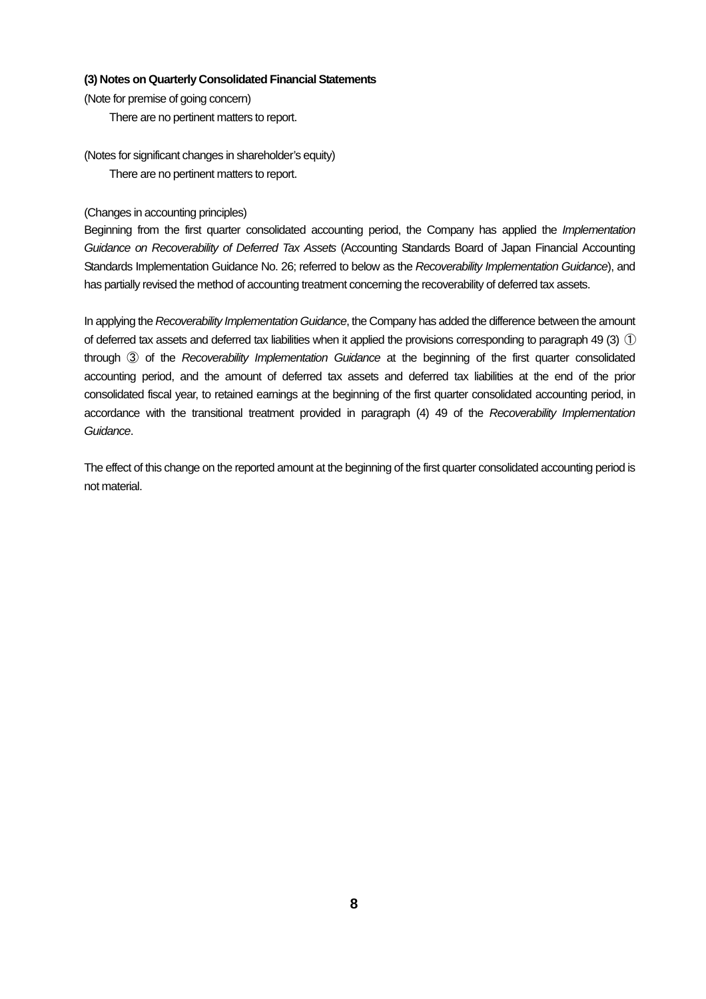#### **(3) Notes on Quarterly Consolidated Financial Statements**

(Note for premise of going concern)

There are no pertinent matters to report.

(Notes for significant changes in shareholder's equity) There are no pertinent matters to report.

(Changes in accounting principles)

Beginning from the first quarter consolidated accounting period, the Company has applied the *Implementation* Guidance on Recoverability of Deferred Tax Assets (Accounting Standards Board of Japan Financial Accounting Standards Implementation Guidance No. 26; referred to below as the Recoverability Implementation Guidance), and has partially revised the method of accounting treatment concerning the recoverability of deferred tax assets.

In applying the Recoverability Implementation Guidance, the Company has added the difference between the amount of deferred tax assets and deferred tax liabilities when it applied the provisions corresponding to paragraph 49 (3)  $\circ$ through ③ of the Recoverability Implementation Guidance at the beginning of the first quarter consolidated accounting period, and the amount of deferred tax assets and deferred tax liabilities at the end of the prior consolidated fiscal year, to retained earnings at the beginning of the first quarter consolidated accounting period, in accordance with the transitional treatment provided in paragraph (4) 49 of the Recoverability Implementation Guidance.

The effect of this change on the reported amount at the beginning of the first quarter consolidated accounting period is not material.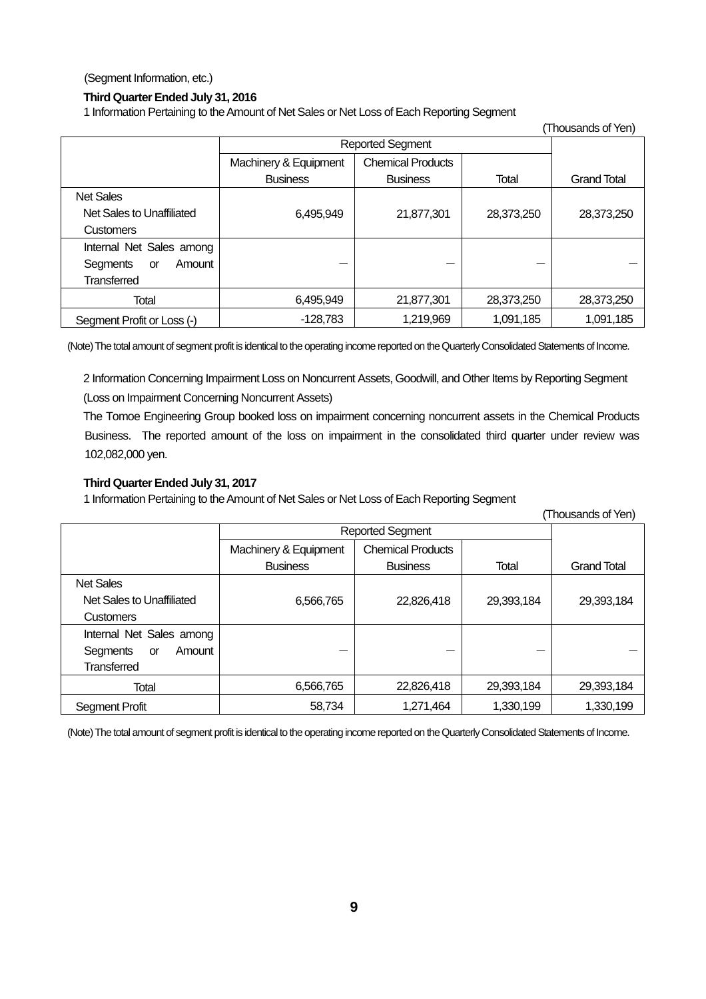(Segment Information, etc.)

#### **Third Quarter Ended July 31, 2016**

1 Information Pertaining to the Amount of Net Sales or Net Loss of Each Reporting Segment

| $\frac{1}{2}$ . The contract of the computation of the contract of the contract with the contract of $\sim$ $\sim$ $\sim$<br>(Thousands of Yen) |                         |                          |            |                    |
|-------------------------------------------------------------------------------------------------------------------------------------------------|-------------------------|--------------------------|------------|--------------------|
|                                                                                                                                                 | <b>Reported Segment</b> |                          |            |                    |
|                                                                                                                                                 | Machinery & Equipment   | <b>Chemical Products</b> |            |                    |
|                                                                                                                                                 | <b>Business</b>         | <b>Business</b>          | Total      | <b>Grand Total</b> |
| <b>Net Sales</b>                                                                                                                                |                         |                          |            |                    |
| Net Sales to Unaffiliated                                                                                                                       | 6,495,949               | 21,877,301               | 28,373,250 | 28,373,250         |
| <b>Customers</b>                                                                                                                                |                         |                          |            |                    |
| Internal Net Sales among                                                                                                                        |                         |                          |            |                    |
| Segments<br>Amount<br><b>or</b>                                                                                                                 |                         |                          |            |                    |
| <b>Transferred</b>                                                                                                                              |                         |                          |            |                    |
| <b>Total</b>                                                                                                                                    | 6,495,949               | 21,877,301               | 28,373,250 | 28,373,250         |
| Segment Profit or Loss (-)                                                                                                                      | $-128,783$              | 1,219,969                | 1,091,185  | 1,091,185          |

(Note) The total amount of segment profit is identical to the operating income reported on the Quarterly Consolidated Statements of Income.

2 Information Concerning Impairment Loss on Noncurrent Assets, Goodwill, and Other Items by Reporting Segment (Loss on Impairment Concerning Noncurrent Assets)

The Tomoe Engineering Group booked loss on impairment concerning noncurrent assets in the Chemical Products Business. The reported amount of the loss on impairment in the consolidated third quarter under review was 102,082,000 yen.

#### **Third Quarter Ended July 31, 2017**

1 Information Pertaining to the Amount of Net Sales or Net Loss of Each Reporting Segment

|                                 |                         |                          |            | (Thousands of Yen) |
|---------------------------------|-------------------------|--------------------------|------------|--------------------|
|                                 | <b>Reported Segment</b> |                          |            |                    |
|                                 | Machinery & Equipment   | <b>Chemical Products</b> |            |                    |
|                                 | <b>Business</b>         | <b>Business</b>          | Total      | <b>Grand Total</b> |
| <b>Net Sales</b>                |                         |                          |            |                    |
| Net Sales to Unaffiliated       | 6,566,765               | 22,826,418               | 29,393,184 | 29,393,184         |
| <b>Customers</b>                |                         |                          |            |                    |
| Internal Net Sales among        |                         |                          |            |                    |
| Amount<br>Segments<br><b>or</b> |                         |                          |            |                    |
| Transferred                     |                         |                          |            |                    |
| <b>Total</b>                    | 6,566,765               | 22,826,418               | 29,393,184 | 29,393,184         |
| <b>Segment Profit</b>           | 58,734                  | 1,271,464                | 1,330,199  | 1,330,199          |

(Note) The total amount of segment profit is identical to the operating income reported on the Quarterly Consolidated Statements of Income.